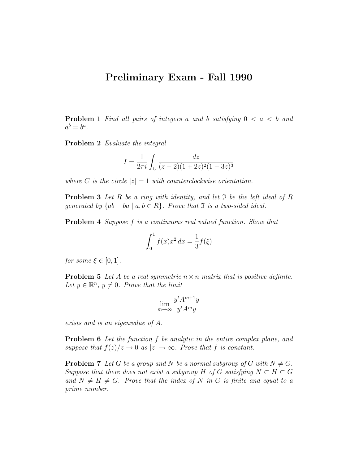## Preliminary Exam - Fall 1990

**Problem 1** Find all pairs of integers a and b satisfying  $0 < a < b$  and  $a^b = b^a$ .

Problem 2 Evaluate the integral

$$
I = \frac{1}{2\pi i} \int_C \frac{dz}{(z-2)(1+2z)^2(1-3z)^3}
$$

where C is the circle  $|z|=1$  with counterclockwise orientation.

**Problem 3** Let R be a ring with identity, and let  $\mathfrak I$  be the left ideal of R generated by  $\{ab - ba \mid a, b \in R\}$ . Prove that  $\Im$  is a two-sided ideal.

Problem 4 Suppose f is a continuous real valued function. Show that

$$
\int_0^1 f(x)x^2 dx = \frac{1}{3}f(\xi)
$$

for some  $\xi \in [0,1]$ .

**Problem 5** Let A be a real symmetric  $n \times n$  matrix that is positive definite. Let  $y \in \mathbb{R}^n$ ,  $y \neq 0$ . Prove that the limit

$$
\lim_{m \to \infty} \frac{y^t A^{m+1} y}{y^t A^m y}
$$

exists and is an eigenvalue of A.

**Problem 6** Let the function f be analytic in the entire complex plane, and suppose that  $f(z)/z \to 0$  as  $|z| \to \infty$ . Prove that f is constant.

**Problem 7** Let G be a group and N be a normal subgroup of G with  $N \neq G$ . Suppose that there does not exist a subgroup H of G satisfying  $N \subset H \subset G$ and  $N \neq H \neq G$ . Prove that the index of N in G is finite and equal to a prime number.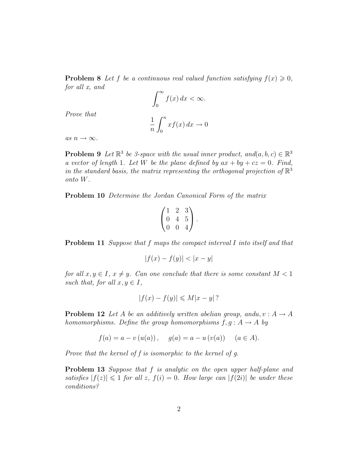**Problem 8** Let f be a continuous real valued function satisfying  $f(x) \geq 0$ , for all x, and

$$
\int_0^\infty f(x) \, dx < \infty.
$$

Prove that

$$
\frac{1}{n} \int_0^n x f(x) \, dx \to 0
$$

as  $n \to \infty$ .

**Problem 9** Let  $\mathbb{R}^3$  be 3-space with the usual inner product, and  $(a, b, c) \in \mathbb{R}^3$ a vector of length 1. Let W be the plane defined by  $ax + by + cz = 0$ . Find, in the standard basis, the matrix representing the orthogonal projection of  $\mathbb{R}^3$ onto W.

Problem 10 Determine the Jordan Canonical Form of the matrix

$$
\begin{pmatrix} 1 & 2 & 3 \ 0 & 4 & 5 \ 0 & 0 & 4 \end{pmatrix}.
$$

Problem 11 Suppose that f maps the compact interval I into itself and that

$$
|f(x) - f(y)| < |x - y|
$$

for all  $x, y \in I$ ,  $x \neq y$ . Can one conclude that there is some constant  $M < 1$ such that, for all  $x, y \in I$ ,

$$
|f(x) - f(y)| \leq M|x - y|?
$$

**Problem 12** Let A be an additively written abelian group, andu,  $v : A \rightarrow A$ homomorphisms. Define the group homomorphisms  $f, g : A \rightarrow A$  by

$$
f(a) = a - v(u(a)), \quad g(a) = a - u(v(a)) \quad (a \in A).
$$

Prove that the kernel of f is isomorphic to the kernel of g.

**Problem 13** Suppose that f is analytic on the open upper half-plane and satisfies  $|f(z)| \leq 1$  for all z,  $f(i) = 0$ . How large can  $|f(2i)|$  be under these conditions?